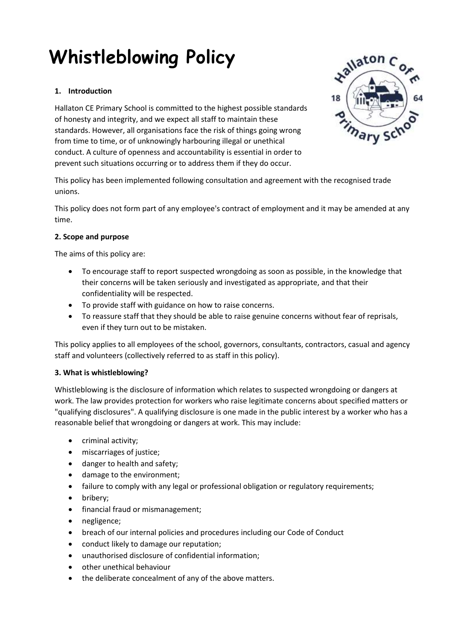# **Whistleblowing Policy**

# **1. Introduction**

Hallaton CE Primary School is committed to the highest possible standards of honesty and integrity, and we expect all staff to maintain these standards. However, all organisations face the risk of things going wrong from time to time, or of unknowingly harbouring illegal or unethical conduct. A culture of openness and accountability is essential in order to prevent such situations occurring or to address them if they do occur.



This policy does not form part of any employee's contract of employment and it may be amended at any time.

# **2. Scope and purpose**

The aims of this policy are:

- To encourage staff to report suspected wrongdoing as soon as possible, in the knowledge that their concerns will be taken seriously and investigated as appropriate, and that their confidentiality will be respected.
- To provide staff with guidance on how to raise concerns.
- To reassure staff that they should be able to raise genuine concerns without fear of reprisals, even if they turn out to be mistaken.

This policy applies to all employees of the school, governors, consultants, contractors, casual and agency staff and volunteers (collectively referred to as staff in this policy).

# **3. What is whistleblowing?**

Whistleblowing is the disclosure of information which relates to suspected wrongdoing or dangers at work. The law provides protection for workers who raise legitimate concerns about specified matters or "qualifying disclosures". A qualifying disclosure is one made in the public interest by a worker who has a reasonable belief that wrongdoing or dangers at work. This may include:

- criminal activity;
- miscarriages of justice;
- danger to health and safety;
- damage to the environment;
- failure to comply with any legal or professional obligation or regulatory requirements;
- bribery:
- financial fraud or mismanagement;
- negligence:
- breach of our internal policies and procedures including our Code of Conduct
- conduct likely to damage our reputation;
- unauthorised disclosure of confidential information;
- other unethical behaviour
- the deliberate concealment of any of the above matters.

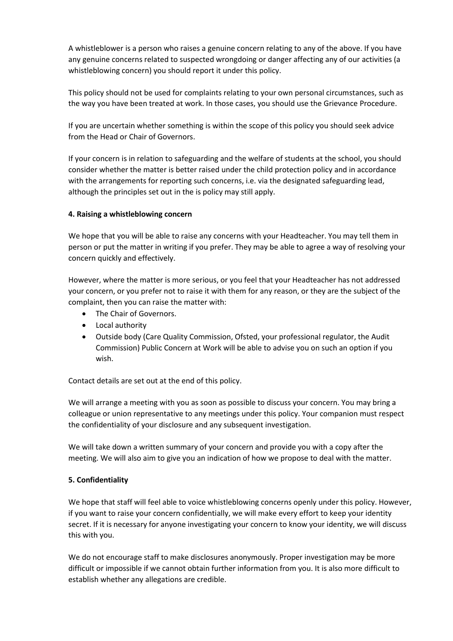A whistleblower is a person who raises a genuine concern relating to any of the above. If you have any genuine concerns related to suspected wrongdoing or danger affecting any of our activities (a whistleblowing concern) you should report it under this policy.

This policy should not be used for complaints relating to your own personal circumstances, such as the way you have been treated at work. In those cases, you should use the Grievance Procedure.

If you are uncertain whether something is within the scope of this policy you should seek advice from the Head or Chair of Governors.

If your concern is in relation to safeguarding and the welfare of students at the school, you should consider whether the matter is better raised under the child protection policy and in accordance with the arrangements for reporting such concerns, i.e. via the designated safeguarding lead, although the principles set out in the is policy may still apply.

### **4. Raising a whistleblowing concern**

We hope that you will be able to raise any concerns with your Headteacher. You may tell them in person or put the matter in writing if you prefer. They may be able to agree a way of resolving your concern quickly and effectively.

However, where the matter is more serious, or you feel that your Headteacher has not addressed your concern, or you prefer not to raise it with them for any reason, or they are the subject of the complaint, then you can raise the matter with:

- The Chair of Governors.
- Local authority
- Outside body (Care Quality Commission, Ofsted, your professional regulator, the Audit Commission) Public Concern at Work will be able to advise you on such an option if you wish.

Contact details are set out at the end of this policy.

We will arrange a meeting with you as soon as possible to discuss your concern. You may bring a colleague or union representative to any meetings under this policy. Your companion must respect the confidentiality of your disclosure and any subsequent investigation.

We will take down a written summary of your concern and provide you with a copy after the meeting. We will also aim to give you an indication of how we propose to deal with the matter.

#### **5. Confidentiality**

We hope that staff will feel able to voice whistleblowing concerns openly under this policy. However, if you want to raise your concern confidentially, we will make every effort to keep your identity secret. If it is necessary for anyone investigating your concern to know your identity, we will discuss this with you.

We do not encourage staff to make disclosures anonymously. Proper investigation may be more difficult or impossible if we cannot obtain further information from you. It is also more difficult to establish whether any allegations are credible.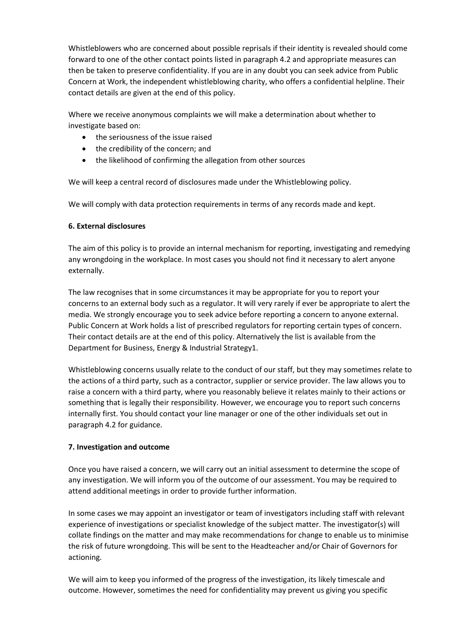Whistleblowers who are concerned about possible reprisals if their identity is revealed should come forward to one of the other contact points listed in paragraph 4.2 and appropriate measures can then be taken to preserve confidentiality. If you are in any doubt you can seek advice from Public Concern at Work, the independent whistleblowing charity, who offers a confidential helpline. Their contact details are given at the end of this policy.

Where we receive anonymous complaints we will make a determination about whether to investigate based on:

- the seriousness of the issue raised
- the credibility of the concern; and
- the likelihood of confirming the allegation from other sources

We will keep a central record of disclosures made under the Whistleblowing policy.

We will comply with data protection requirements in terms of any records made and kept.

### **6. External disclosures**

The aim of this policy is to provide an internal mechanism for reporting, investigating and remedying any wrongdoing in the workplace. In most cases you should not find it necessary to alert anyone externally.

The law recognises that in some circumstances it may be appropriate for you to report your concerns to an external body such as a regulator. It will very rarely if ever be appropriate to alert the media. We strongly encourage you to seek advice before reporting a concern to anyone external. Public Concern at Work holds a list of prescribed regulators for reporting certain types of concern. Their contact details are at the end of this policy. Alternatively the list is available from the Department for Business, Energy & Industrial Strategy1.

Whistleblowing concerns usually relate to the conduct of our staff, but they may sometimes relate to the actions of a third party, such as a contractor, supplier or service provider. The law allows you to raise a concern with a third party, where you reasonably believe it relates mainly to their actions or something that is legally their responsibility. However, we encourage you to report such concerns internally first. You should contact your line manager or one of the other individuals set out in paragraph 4.2 for guidance.

## **7. Investigation and outcome**

Once you have raised a concern, we will carry out an initial assessment to determine the scope of any investigation. We will inform you of the outcome of our assessment. You may be required to attend additional meetings in order to provide further information.

In some cases we may appoint an investigator or team of investigators including staff with relevant experience of investigations or specialist knowledge of the subject matter. The investigator(s) will collate findings on the matter and may make recommendations for change to enable us to minimise the risk of future wrongdoing. This will be sent to the Headteacher and/or Chair of Governors for actioning.

We will aim to keep you informed of the progress of the investigation, its likely timescale and outcome. However, sometimes the need for confidentiality may prevent us giving you specific